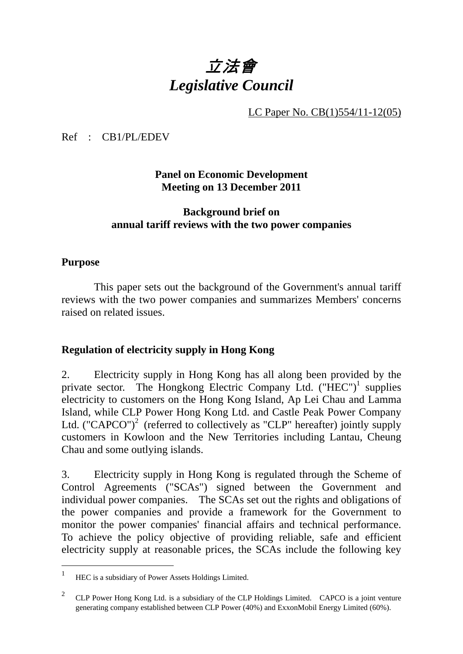# 立法會 *Legislative Council*

LC Paper No. CB(1)554/11-12(05)

Ref : CB1/PL/EDEV

**Panel on Economic Development Meeting on 13 December 2011** 

# **Background brief on annual tariff reviews with the two power companies**

## **Purpose**

 $\overline{a}$ 

 This paper sets out the background of the Government's annual tariff reviews with the two power companies and summarizes Members' concerns raised on related issues.

## **Regulation of electricity supply in Hong Kong**

2. Electricity supply in Hong Kong has all along been provided by the private sector. The Hongkong Electric Company Ltd. ("HEC")<sup>1</sup> supplies electricity to customers on the Hong Kong Island, Ap Lei Chau and Lamma Island, while CLP Power Hong Kong Ltd. and Castle Peak Power Company Ltd. ("CAPCO")<sup>2</sup> (referred to collectively as "CLP" hereafter) jointly supply customers in Kowloon and the New Territories including Lantau, Cheung Chau and some outlying islands.

3. Electricity supply in Hong Kong is regulated through the Scheme of Control Agreements ("SCAs") signed between the Government and individual power companies. The SCAs set out the rights and obligations of the power companies and provide a framework for the Government to monitor the power companies' financial affairs and technical performance. To achieve the policy objective of providing reliable, safe and efficient electricity supply at reasonable prices, the SCAs include the following key

<sup>&</sup>lt;sup>1</sup> HEC is a subsidiary of Power Assets Holdings Limited.

<sup>&</sup>lt;sup>2</sup> CLP Power Hong Kong Ltd. is a subsidiary of the CLP Holdings Limited. CAPCO is a joint venture generating company established between CLP Power (40%) and ExxonMobil Energy Limited (60%).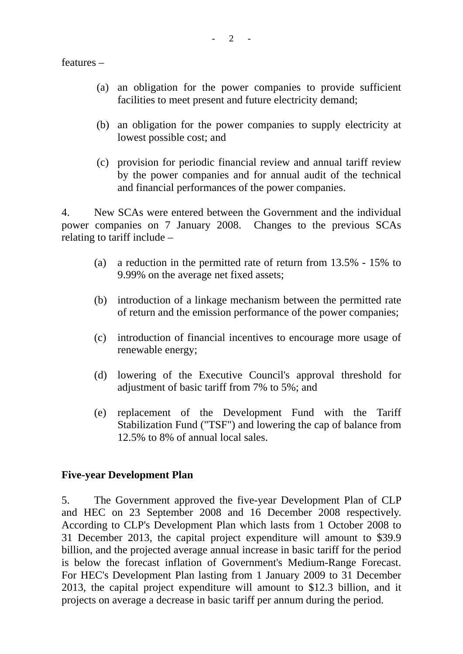features –

- (a) an obligation for the power companies to provide sufficient facilities to meet present and future electricity demand;
- (b) an obligation for the power companies to supply electricity at lowest possible cost; and
- (c) provision for periodic financial review and annual tariff review by the power companies and for annual audit of the technical and financial performances of the power companies.

4. New SCAs were entered between the Government and the individual power companies on 7 January 2008. Changes to the previous SCAs relating to tariff include –

- (a) a reduction in the permitted rate of return from 13.5% 15% to 9.99% on the average net fixed assets;
- (b) introduction of a linkage mechanism between the permitted rate of return and the emission performance of the power companies;
- (c) introduction of financial incentives to encourage more usage of renewable energy;
- (d) lowering of the Executive Council's approval threshold for adjustment of basic tariff from 7% to 5%; and
- (e) replacement of the Development Fund with the Tariff Stabilization Fund ("TSF") and lowering the cap of balance from 12.5% to 8% of annual local sales.

#### **Five-year Development Plan**

5. The Government approved the five-year Development Plan of CLP and HEC on 23 September 2008 and 16 December 2008 respectively. According to CLP's Development Plan which lasts from 1 October 2008 to 31 December 2013, the capital project expenditure will amount to \$39.9 billion, and the projected average annual increase in basic tariff for the period is below the forecast inflation of Government's Medium-Range Forecast. For HEC's Development Plan lasting from 1 January 2009 to 31 December 2013, the capital project expenditure will amount to \$12.3 billion, and it projects on average a decrease in basic tariff per annum during the period.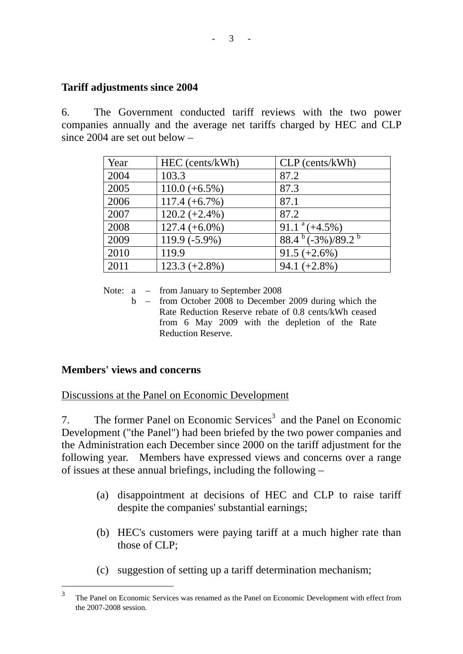# **Tariff adjustments since 2004**

6. The Government conducted tariff reviews with the two power companies annually and the average net tariffs charged by HEC and CLP since 2004 are set out below –

| Year | HEC (cents/kWh)  | $CLP$ (cents/kWh)                  |
|------|------------------|------------------------------------|
| 2004 | 103.3            | 87.2                               |
| 2005 | $110.0 (+6.5%)$  | 87.3                               |
| 2006 | $117.4 (+6.7%)$  | 87.1                               |
| 2007 | $120.2 (+2.4\%)$ | 87.2                               |
| 2008 | $127.4 (+6.0\%)$ | $91.1^{\text{a}}(+4.5\%)$          |
| 2009 | 119.9 (-5.9%)    | $88.4^{b}$ (-3%)/89.2 <sup>b</sup> |
| 2010 | 119.9            | $91.5 (+2.6%)$                     |
| 2011 | $123.3 (+2.8%)$  | $94.1 (+2.8%)$                     |

Note:  $a - from January to September 2008$ 

 b – from October 2008 to December 2009 during which the Rate Reduction Reserve rebate of 0.8 cents/kWh ceased from 6 May 2009 with the depletion of the Rate Reduction Reserve.

## **Members' views and concerns**

Discussions at the Panel on Economic Development

7. The former Panel on Economic Services<sup>3</sup> and the Panel on Economic Development ("the Panel") had been briefed by the two power companies and the Administration each December since 2000 on the tariff adjustment for the following year. Members have expressed views and concerns over a range of issues at these annual briefings, including the following –

- (a) disappointment at decisions of HEC and CLP to raise tariff despite the companies' substantial earnings;
- (b) HEC's customers were paying tariff at a much higher rate than those of CLP;
- (c) suggestion of setting up a tariff determination mechanism;

 $\mathcal{R}$ The Panel on Economic Services was renamed as the Panel on Economic Development with effect from the 2007-2008 session.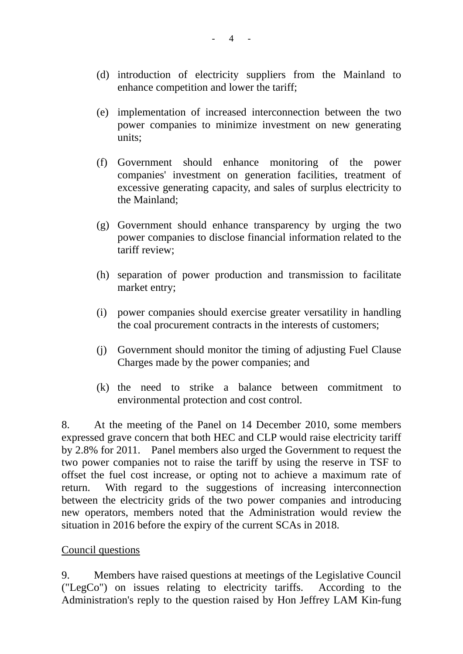- (d) introduction of electricity suppliers from the Mainland to enhance competition and lower the tariff;
- (e) implementation of increased interconnection between the two power companies to minimize investment on new generating units;
- (f) Government should enhance monitoring of the power companies' investment on generation facilities, treatment of excessive generating capacity, and sales of surplus electricity to the Mainland;
- (g) Government should enhance transparency by urging the two power companies to disclose financial information related to the tariff review;
- (h) separation of power production and transmission to facilitate market entry;
- (i) power companies should exercise greater versatility in handling the coal procurement contracts in the interests of customers;
- (j) Government should monitor the timing of adjusting Fuel Clause Charges made by the power companies; and
- (k) the need to strike a balance between commitment to environmental protection and cost control.

8. At the meeting of the Panel on 14 December 2010, some members expressed grave concern that both HEC and CLP would raise electricity tariff by 2.8% for 2011. Panel members also urged the Government to request the two power companies not to raise the tariff by using the reserve in TSF to offset the fuel cost increase, or opting not to achieve a maximum rate of return. With regard to the suggestions of increasing interconnection between the electricity grids of the two power companies and introducing new operators, members noted that the Administration would review the situation in 2016 before the expiry of the current SCAs in 2018.

#### Council questions

9. Members have raised questions at meetings of the Legislative Council ("LegCo") on issues relating to electricity tariffs. According to the Administration's reply to the question raised by Hon Jeffrey LAM Kin-fung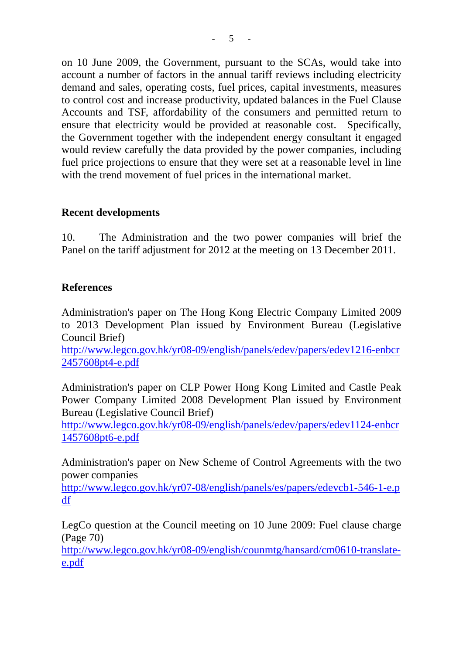on 10 June 2009, the Government, pursuant to the SCAs, would take into account a number of factors in the annual tariff reviews including electricity demand and sales, operating costs, fuel prices, capital investments, measures to control cost and increase productivity, updated balances in the Fuel Clause Accounts and TSF, affordability of the consumers and permitted return to ensure that electricity would be provided at reasonable cost. Specifically, the Government together with the independent energy consultant it engaged would review carefully the data provided by the power companies, including fuel price projections to ensure that they were set at a reasonable level in line with the trend movement of fuel prices in the international market.

# **Recent developments**

10. The Administration and the two power companies will brief the Panel on the tariff adjustment for 2012 at the meeting on 13 December 2011.

## **References**

Administration's paper on The Hong Kong Electric Company Limited 2009 to 2013 Development Plan issued by Environment Bureau (Legislative Council Brief)

http://www.legco.gov.hk/yr08-09/english/panels/edev/papers/edev1216-enbcr 2457608pt4-e.pdf

Administration's paper on CLP Power Hong Kong Limited and Castle Peak Power Company Limited 2008 Development Plan issued by Environment Bureau (Legislative Council Brief)

http://www.legco.gov.hk/yr08-09/english/panels/edev/papers/edev1124-enbcr 1457608pt6-e.pdf

Administration's paper on New Scheme of Control Agreements with the two power companies

http://www.legco.gov.hk/yr07-08/english/panels/es/papers/edevcb1-546-1-e.p df

LegCo question at the Council meeting on 10 June 2009: Fuel clause charge (Page 70)

http://www.legco.gov.hk/yr08-09/english/counmtg/hansard/cm0610-translatee.pdf